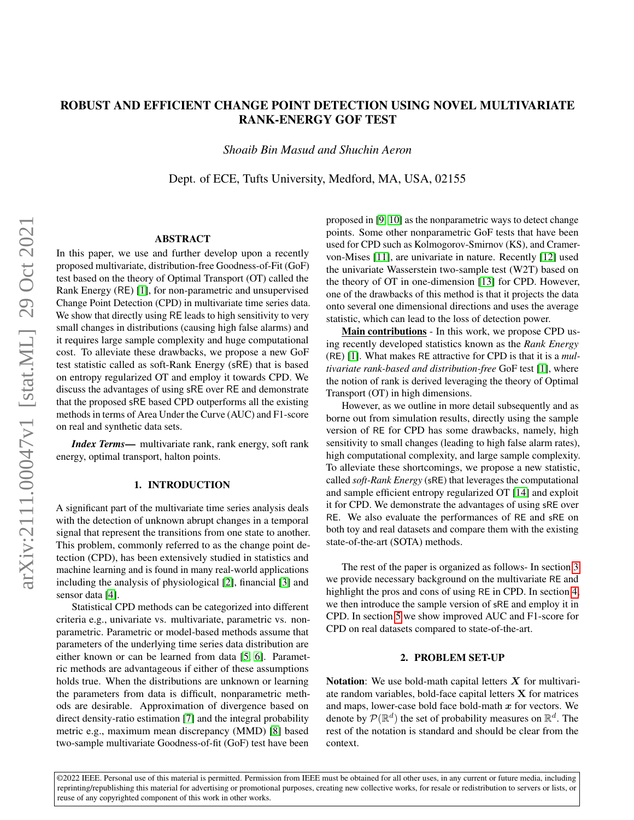# ROBUST AND EFFICIENT CHANGE POINT DETECTION USING NOVEL MULTIVARIATE RANK-ENERGY GOF TEST

*Shoaib Bin Masud and Shuchin Aeron*

Dept. of ECE, Tufts University, Medford, MA, USA, 02155

# ABSTRACT

In this paper, we use and further develop upon a recently proposed multivariate, distribution-free Goodness-of-Fit (GoF) test based on the theory of Optimal Transport (OT) called the Rank Energy (RE) [\[1\]](#page-4-0), for non-parametric and unsupervised Change Point Detection (CPD) in multivariate time series data. We show that directly using RE leads to high sensitivity to very small changes in distributions (causing high false alarms) and it requires large sample complexity and huge computational cost. To alleviate these drawbacks, we propose a new GoF test statistic called as soft-Rank Energy (sRE) that is based on entropy regularized OT and employ it towards CPD. We discuss the advantages of using sRE over RE and demonstrate that the proposed sRE based CPD outperforms all the existing methods in terms of Area Under the Curve (AUC) and F1-score on real and synthetic data sets.

*Index Terms*— multivariate rank, rank energy, soft rank energy, optimal transport, halton points.

## 1. INTRODUCTION

A significant part of the multivariate time series analysis deals with the detection of unknown abrupt changes in a temporal signal that represent the transitions from one state to another. This problem, commonly referred to as the change point detection (CPD), has been extensively studied in statistics and machine learning and is found in many real-world applications including the analysis of physiological [\[2\]](#page-4-1), financial [\[3\]](#page-4-2) and sensor data [\[4\]](#page-4-3).

Statistical CPD methods can be categorized into different criteria e.g., univariate vs. multivariate, parametric vs. nonparametric. Parametric or model-based methods assume that parameters of the underlying time series data distribution are either known or can be learned from data [\[5,](#page-4-4) [6\]](#page-4-5). Parametric methods are advantageous if either of these assumptions holds true. When the distributions are unknown or learning the parameters from data is difficult, nonparametric methods are desirable. Approximation of divergence based on direct density-ratio estimation [\[7\]](#page-4-6) and the integral probability metric e.g., maximum mean discrepancy (MMD) [\[8\]](#page-4-7) based two-sample multivariate Goodness-of-fit (GoF) test have been

proposed in [\[9,](#page-4-8) [10\]](#page-4-9) as the nonparametric ways to detect change points. Some other nonparametric GoF tests that have been used for CPD such as Kolmogorov-Smirnov (KS), and Cramervon-Mises [\[11\]](#page-4-10), are univariate in nature. Recently [\[12\]](#page-4-11) used the univariate Wasserstein two-sample test (W2T) based on the theory of OT in one-dimension [\[13\]](#page-4-12) for CPD. However, one of the drawbacks of this method is that it projects the data onto several one dimensional directions and uses the average statistic, which can lead to the loss of detection power.

Main contributions - In this work, we propose CPD using recently developed statistics known as the *Rank Energy* (RE) [\[1\]](#page-4-0). What makes RE attractive for CPD is that it is a *multivariate rank-based and distribution-free* GoF test [\[1\]](#page-4-0), where the notion of rank is derived leveraging the theory of Optimal Transport (OT) in high dimensions.

However, as we outline in more detail subsequently and as borne out from simulation results, directly using the sample version of RE for CPD has some drawbacks, namely, high sensitivity to small changes (leading to high false alarm rates), high computational complexity, and large sample complexity. To alleviate these shortcomings, we propose a new statistic, called *soft-Rank Energy* (sRE) that leverages the computational and sample efficient entropy regularized OT [\[14\]](#page-4-13) and exploit it for CPD. We demonstrate the advantages of using sRE over RE. We also evaluate the performances of RE and sRE on both toy and real datasets and compare them with the existing state-of-the-art (SOTA) methods.

The rest of the paper is organized as follows- In section [3](#page-1-0) we provide necessary background on the multivariate RE and highlight the pros and cons of using RE in CPD. In section [4,](#page-2-0) we then introduce the sample version of sRE and employ it in CPD. In section [5](#page-2-1) we show improved AUC and F1-score for CPD on real datasets compared to state-of-the-art.

#### 2. PROBLEM SET-UP

Notation: We use bold-math capital letters  $X$  for multivariate random variables, bold-face capital letters X for matrices and maps, lower-case bold face bold-math  $x$  for vectors. We denote by  $\mathcal{P}(\mathbb{R}^d)$  the set of probability measures on  $\mathbb{R}^d$ . The rest of the notation is standard and should be clear from the context.

©2022 IEEE. Personal use of this material is permitted. Permission from IEEE must be obtained for all other uses, in any current or future media, including reprinting/republishing this material for advertising or promotional purposes, creating new collective works, for resale or redistribution to servers or lists, or reuse of any copyrighted component of this work in other works.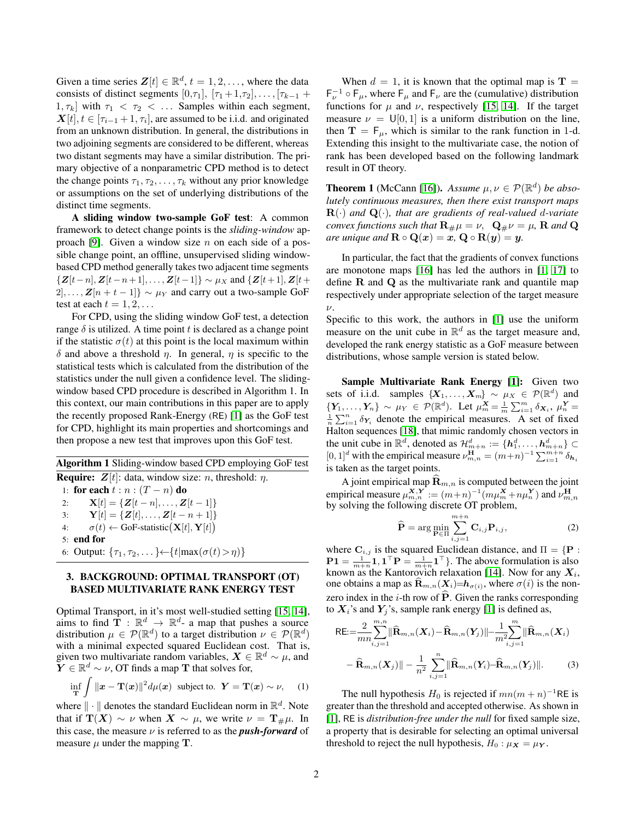Given a time series  $\mathbf{Z}[t] \in \mathbb{R}^d$ ,  $t = 1, 2, \dots$ , where the data consists of distinct segments  $[0,\tau_1]$ ,  $[\tau_1+1,\tau_2]$ , ...,  $[\tau_{k-1}+1]$  $[1, \tau_k]$  with  $\tau_1 < \tau_2 < \ldots$  Samples within each segment,  $\boldsymbol{X}[t], t \in [\tau_{i-1}+1, \tau_i]$ , are assumed to be i.i.d. and originated from an unknown distribution. In general, the distributions in two adjoining segments are considered to be different, whereas two distant segments may have a similar distribution. The primary objective of a nonparametric CPD method is to detect the change points  $\tau_1, \tau_2, \ldots, \tau_k$  without any prior knowledge or assumptions on the set of underlying distributions of the distinct time segments.

A sliding window two-sample GoF test: A common framework to detect change points is the *sliding-window* ap-proach [\[9\]](#page-4-8). Given a window size n on each side of a possible change point, an offline, unsupervised sliding windowbased CPD method generally takes two adjacent time segments  $\{Z[t-n], Z[t-n+1], \ldots, Z[t-1]\} \sim \mu_X$  and  $\{Z[t+1], Z[t+1]\}$  $2, \ldots, \mathbf{Z}[n + t - 1]$  ~  $\mu_Y$  and carry out a two-sample GoF test at each  $t = 1, 2, \ldots$ 

For CPD, using the sliding window GoF test, a detection range  $\delta$  is utilized. A time point t is declared as a change point if the statistic  $\sigma(t)$  at this point is the local maximum within δ and above a threshold η. In general, η is specific to the statistical tests which is calculated from the distribution of the statistics under the null given a confidence level. The slidingwindow based CPD procedure is described in Algorithm 1. In this context, our main contributions in this paper are to apply the recently proposed Rank-Energy (RE) [\[1\]](#page-4-0) as the GoF test for CPD, highlight its main properties and shortcomings and then propose a new test that improves upon this GoF test.

Algorithm 1 Sliding-window based CPD employing GoF test **Require:**  $\mathbf{Z}[t]$ : data, window size: *n*, threshold:  $\eta$ . 1: for each  $t : n : (T - n)$  do 2:  $\mathbf{X}[t] = \{ \mathbf{Z}[t-n], \ldots, \mathbf{Z}[t-1] \}$ 3:  $\mathbf{Y}[t] = \{ \mathbf{Z}[t], \dots, \mathbf{Z}[t - n + 1] \}$ 4:  $\sigma(t) \leftarrow \text{GoF-statistic}(\mathbf{X}[t], \mathbf{Y}[t])$ 5: end for 6: Output:  $\{\tau_1, \tau_2, \dots\} \leftarrow \{t | \max(\sigma(t) > \eta)\}$ 

# <span id="page-1-0"></span>3. BACKGROUND: OPTIMAL TRANSPORT (OT) BASED MULTIVARIATE RANK ENERGY TEST

Optimal Transport, in it's most well-studied setting [\[15,](#page-4-14) [14\]](#page-4-13), aims to find  $\mathbf{T} : \mathbb{R}^d \to \mathbb{R}^d$ - a map that pushes a source distribution  $\mu \in \mathcal{P}(\mathbb{R}^d)$  to a target distribution  $\nu \in \mathcal{P}(\mathbb{R}^d)$ with a minimal expected squared Euclidean cost. That is, given two multivariate random variables,  $\mathbf{X} \in \mathbb{R}^d \sim \mu$ , and  $\bm{\widetilde{Y}}\in\mathbb{R}^d\sim \nu,$  OT finds a map  $\mathbf T$  that solves for,

$$
\inf_{\mathbf{T}} \int ||\mathbf{x} - \mathbf{T}(\mathbf{x})||^2 d\mu(\mathbf{x}) \text{ subject to. } \mathbf{Y} = \mathbf{T}(\mathbf{x}) \sim \nu, \quad (1)
$$

where  $\|\cdot\|$  denotes the standard Euclidean norm in  $\mathbb{R}^d$ . Note that if  $\mathbf{T}(X) \sim \nu$  when  $X \sim \mu$ , we write  $\nu = \mathbf{T}_{\mu}\mu$ . In this case, the measure  $\nu$  is referred to as the *push-forward* of measure  $\mu$  under the mapping **T**.

When  $d = 1$ , it is known that the optimal map is  $T =$  $F_{\nu}^{-1} \circ F_{\mu}$ , where  $F_{\mu}$  and  $F_{\nu}$  are the (cumulative) distribution functions for  $\mu$  and  $\nu$ , respectively [\[15,](#page-4-14) [14\]](#page-4-13). If the target measure  $\nu = U[0, 1]$  is a uniform distribution on the line, then  $T = F_{\mu}$ , which is similar to the rank function in 1-d. Extending this insight to the multivariate case, the notion of rank has been developed based on the following landmark result in OT theory.

**Theorem 1** (McCann [\[16\]](#page-4-15)). *Assume*  $\mu, \nu \in \mathcal{P}(\mathbb{R}^d)$  *be absolutely continuous measures, then there exist transport maps*  $\mathbf{R}(\cdot)$  *and*  $\mathbf{Q}(\cdot)$ *, that are gradients of real-valued d-variate convex functions such that*  $\mathbf{R}_{\#}\mu = \nu$ ,  $\mathbf{Q}_{\#}\nu = \mu$ , **R** and **Q** *are unique and*  $\mathbf{R} \circ \mathbf{Q}(\mathbf{x}) = \mathbf{x}, \mathbf{Q} \circ \mathbf{R}(\mathbf{y}) = \mathbf{y}$ .

In particular, the fact that the gradients of convex functions are monotone maps [\[16\]](#page-4-15) has led the authors in [\[1,](#page-4-0) [17\]](#page-4-16) to define R and Q as the multivariate rank and quantile map respectively under appropriate selection of the target measure  $\nu$ .

Specific to this work, the authors in [\[1\]](#page-4-0) use the uniform measure on the unit cube in  $\mathbb{R}^d$  as the target measure and, developed the rank energy statistic as a GoF measure between distributions, whose sample version is stated below.

Sample Multivariate Rank Energy [\[1\]](#page-4-0): Given two sets of i.i.d. samples  $\{X_1, \ldots, X_m\} \sim \mu_X \in \mathcal{P}(\mathbb{R}^d)$  and  $\{Y_1,\ldots,Y_n\} \sim \mu_Y \in \mathcal{P}(\mathbb{R}^d)$ . Let  $\mu_m^{\mathbf{X}} = \frac{1}{m} \sum_{i=1}^m \delta_{\mathbf{X}_i}, \mu_n^{\mathbf{Y}} =$  $\frac{1}{n} \sum_{i=1}^{n} \delta_{Y_i}$  denote the empirical measures. A set of fixed Halton sequences [\[18\]](#page-4-17), that mimic randomly chosen vectors in the unit cube in  $\mathbb{R}^d$ , denoted as  $\mathcal{H}_{m+n}^d := \{h_1^d, \dots, h_{m+n}^d\} \subset$  $[0, 1]^d$  with the empirical measure  $\nu_{m,n}^{\mathbf{H}} = (m+n)^{-1} \sum_{i=1}^{m+n} \delta_{\mathbf{h}_i}$ is taken as the target points.

A joint empirical map  $\widehat{\mathbf{R}}_{m,n}$  is computed between the joint empirical measure  $\mu_{m,n}^{\mathbf{X},\mathbf{Y}} := (m+n)^{-1} (m\mu_m^{\mathbf{X}} + n\mu_n^{\mathbf{Y}})$  and  $\nu_{m,n}^{\mathbf{H}}$ by solving the following discrete OT problem,

<span id="page-1-2"></span><span id="page-1-1"></span>
$$
\widehat{\mathbf{P}} = \arg\min_{\mathbf{P} \in \Pi} \sum_{i,j=1}^{m+n} \mathbf{C}_{i,j} \mathbf{P}_{i,j},
$$
\n(2)

where  $\mathbf{C}_{i,j}$  is the squared Euclidean distance, and  $\Pi = \{ \mathbf{P} :$  $P1 = \frac{1}{m+n} 1, 1^{\top} P = \frac{1}{m+n} 1^{\top}$ . The above formulation is also known as the Kantorovich relaxation [\[14\]](#page-4-13). Now for any  $X_i$ , one obtains a map as  $\mathbf{R}_{m,n}(\mathbf{X}_i)=\mathbf{h}_{\sigma(i)}$ , where  $\sigma(i)$  is the nonzero index in the *i*-th row of  $\hat{P}$ . Given the ranks corresponding to  $X_i$ 's and  $Y_j$ 's, sample rank energy [\[1\]](#page-4-0) is defined as,

RE: 
$$
\frac{2}{mn} \sum_{i,j=1}^{m,n} ||\widehat{\mathbf{R}}_{m,n}(X_i) - \widehat{\mathbf{R}}_{m,n}(Y_j)|| - \frac{1}{m^2} \sum_{i,j=1}^{m} ||\widehat{\mathbf{R}}_{m,n}(X_i) - \widehat{\mathbf{R}}_{m,n}(X_j)|| - \frac{1}{n^2} \sum_{i,j=1}^{n} ||\widehat{\mathbf{R}}_{m,n}(Y_i) - \widehat{\mathbf{R}}_{m,n}(Y_j)||. \tag{3}
$$

The null hypothesis  $H_0$  is rejected if  $mn(m + n)^{-1}$ RE is greater than the threshold and accepted otherwise. As shown in [\[1\]](#page-4-0), RE is *distribution-free under the null* for fixed sample size, a property that is desirable for selecting an optimal universal threshold to reject the null hypothesis,  $H_0: \mu_X = \mu_Y$ .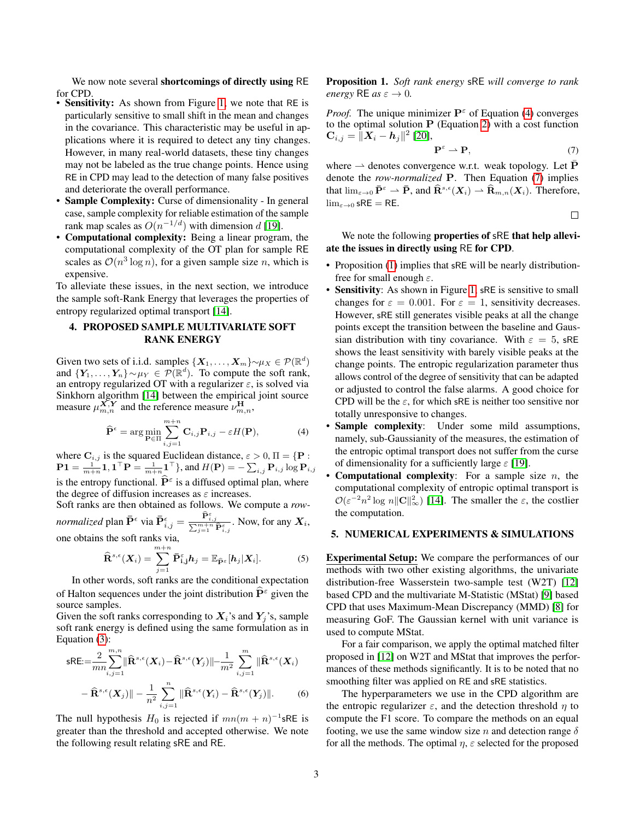We now note several shortcomings of directly using RE for CPD.

- Sensitivity: As shown from Figure [1,](#page-3-0) we note that RE is particularly sensitive to small shift in the mean and changes in the covariance. This characteristic may be useful in applications where it is required to detect any tiny changes. However, in many real-world datasets, these tiny changes may not be labeled as the true change points. Hence using RE in CPD may lead to the detection of many false positives and deteriorate the overall performance.
- Sample Complexity: Curse of dimensionality In general case, sample complexity for reliable estimation of the sample rank map scales as  $O(n^{-1/d})$  with dimension d [\[19\]](#page-4-18).
- Computational complexity: Being a linear program, the computational complexity of the OT plan for sample RE scales as  $\mathcal{O}(n^3 \log n)$ , for a given sample size n, which is expensive.

To alleviate these issues, in the next section, we introduce the sample soft-Rank Energy that leverages the properties of entropy regularized optimal transport [\[14\]](#page-4-13).

# <span id="page-2-0"></span>4. PROPOSED SAMPLE MULTIVARIATE SOFT RANK ENERGY

Given two sets of i.i.d. samples  $\{X_1, \ldots, X_m\} \sim \mu_X \in \mathcal{P}(\mathbb{R}^d)$ and  $\{Y_1, \ldots, Y_n\} \sim \mu_Y \in \mathcal{P}(\mathbb{R}^d)$ . To compute the soft rank, an entropy regularized OT with a regularizer  $\varepsilon$ , is solved via Sinkhorn algorithm [\[14\]](#page-4-13) between the empirical joint source measure  $\mu_{m,n}^{\mathbf{X},\mathbf{Y}}$  and the reference measure  $\nu_{m,n}^{\mathbf{H}},$ 

$$
\widehat{\mathbf{P}}^{\epsilon} = \arg \min_{\mathbf{P} \in \Pi} \sum_{i,j=1}^{m+n} \mathbf{C}_{i,j} \mathbf{P}_{i,j} - \varepsilon H(\mathbf{P}), \tag{4}
$$

where  $\mathbf{C}_{i,j}$  is the squared Euclidean distance,  $\varepsilon > 0$ ,  $\Pi = \{ \mathbf{P} :$  $\mathbf{P1} = \frac{1}{m+n}\mathbf{1}, \mathbf{1}^\top \mathbf{P} = \frac{1}{m+n}\mathbf{1}^\top\},$  and  $H(\mathbf{P}) = -\sum_{i,j} \mathbf{P}_{i,j} \log \mathbf{P}_{i,j}$ is the entropy functional.  $\hat{P}^{\varepsilon}$  is a diffused optimal plan, where the degree of diffusion increases as  $\varepsilon$  increases.

Soft ranks are then obtained as follows. We compute a *rownormalized* plan  $\bar{\mathbf{P}}^{\epsilon}$  via  $\bar{\mathbf{P}}_{i,j}^{\epsilon} = \frac{\widehat{\mathbf{P}}_{i,j}^{\epsilon}}{\sum_{j=1}^{m+n} \widehat{\mathbf{P}}_{i,j}^{\epsilon}}$ . Now, for any  $X_i$ , one obtains the soft ranks via,<br> $\frac{m+n}{m+n}$ 

$$
\widehat{\mathbf{R}}^{s,\epsilon}(\boldsymbol{X}_i) = \sum_{j=1}^{m+n} \bar{\mathbf{P}}^{\epsilon}_{\mathbf{i},\mathbf{j}} \boldsymbol{h}_j = \mathbb{E}_{\widehat{\mathbf{P}}^{\epsilon}}[\boldsymbol{h}_j | \boldsymbol{X}_i]. \tag{5}
$$

In other words, soft ranks are the conditional expectation of Halton sequences under the joint distribution  $\widehat{P}^{\epsilon}$  given the source samples.

Given the soft ranks corresponding to  $X_i$ 's and  $Y_i$ 's, sample soft rank energy is defined using the same formulation as in Equation [\(3\)](#page-1-1):

$$
\mathsf{sRE} := \frac{2}{mn} \sum_{i,j=1}^{m,n} \|\widehat{\mathbf{R}}^{s,\epsilon}(\mathbf{X}_i) - \widehat{\mathbf{R}}^{s,\epsilon}(\mathbf{Y}_j)\| - \frac{1}{m^2} \sum_{i,j=1}^m \|\widehat{\mathbf{R}}^{s,\epsilon}(\mathbf{X}_i) - \widehat{\mathbf{R}}^{s,\epsilon}(\mathbf{X}_j)\| - \frac{1}{n^2} \sum_{i,j=1}^n \|\widehat{\mathbf{R}}^{s,\epsilon}(\mathbf{Y}_i) - \widehat{\mathbf{R}}^{s,\epsilon}(\mathbf{Y}_j)\|.
$$
 (6)

The null hypothesis  $H_0$  is rejected if  $mn(m + n)^{-1}$ sRE is greater than the threshold and accepted otherwise. We note the following result relating sRE and RE.

<span id="page-2-4"></span>Proposition 1. *Soft rank energy* sRE *will converge to rank energy* RE *as*  $\varepsilon \to 0$ .

*Proof.* The unique minimizer  $P^{\epsilon}$  of Equation [\(4\)](#page-2-2) converges to the optimal solution  $P$  (Equation [2\)](#page-1-2) with a cost function  $\mathbf{C}_{i,j} = \|\boldsymbol{X}_i - \boldsymbol{h}_j\|^2$  [\[20\]](#page-4-19),

$$
\mathbf{P}^{\varepsilon} \rightharpoonup \mathbf{P},\tag{7}
$$

where  $\rightarrow$  denotes convergence w.r.t. weak topology. Let  $\overline{P}$ denote the *row-normalized* P. Then Equation [\(7\)](#page-2-3) implies that  $\lim_{\varepsilon \to 0} \bar{P}^{\varepsilon} \to \bar{P}$ , and  $\widehat{R}^{s,\varepsilon}(X_i) \to \widehat{R}_{m,n}(X_i)$ . Therefore,  $\lim_{\varepsilon\to 0}$  sRE = RE.

<span id="page-2-3"></span> $\Box$ 

We note the following properties of sRE that help alleviate the issues in directly using RE for CPD.

- Proposition [\(1\)](#page-2-4) implies that sRE will be nearly distributionfree for small enough  $\varepsilon$ .
- Sensitivity: As shown in Figure [1,](#page-3-0) sRE is sensitive to small changes for  $\varepsilon = 0.001$ . For  $\varepsilon = 1$ , sensitivity decreases. However, sRE still generates visible peaks at all the change points except the transition between the baseline and Gaussian distribution with tiny covariance. With  $\varepsilon = 5$ , sRE shows the least sensitivity with barely visible peaks at the change points. The entropic regularization parameter thus allows control of the degree of sensitivity that can be adapted or adjusted to control the false alarms. A good choice for CPD will be the  $\varepsilon$ , for which sRE is neither too sensitive nor totally unresponsive to changes.
- <span id="page-2-2"></span>• Sample complexity: Under some mild assumptions, namely, sub-Gaussianity of the measures, the estimation of the entropic optimal transport does not suffer from the curse of dimensionality for a sufficiently large  $\varepsilon$  [\[19\]](#page-4-18).
- **Computational complexity:** For a sample size  $n$ , the computational complexity of entropic optimal transport is  $\mathcal{O}(\varepsilon^{-2}n^2 \log n ||\mathbf{C}||_{\infty}^2)$  [\[14\]](#page-4-13). The smaller the  $\varepsilon$ , the costlier the computation.

## <span id="page-2-1"></span>5. NUMERICAL EXPERIMENTS & SIMULATIONS

Experimental Setup: We compare the performances of our methods with two other existing algorithms, the univariate distribution-free Wasserstein two-sample test (W2T) [\[12\]](#page-4-11) based CPD and the multivariate M-Statistic (MStat) [\[9\]](#page-4-8) based CPD that uses Maximum-Mean Discrepancy (MMD) [\[8\]](#page-4-7) for measuring GoF. The Gaussian kernel with unit variance is used to compute MStat.

For a fair comparison, we apply the optimal matched filter proposed in [\[12\]](#page-4-11) on W2T and MStat that improves the performances of these methods significantly. It is to be noted that no smoothing filter was applied on RE and sRE statistics.

The hyperparameters we use in the CPD algorithm are the entropic regularizer  $\varepsilon$ , and the detection threshold  $\eta$  to compute the F1 score. To compare the methods on an equal footing, we use the same window size n and detection range  $\delta$ for all the methods. The optimal  $\eta$ ,  $\varepsilon$  selected for the proposed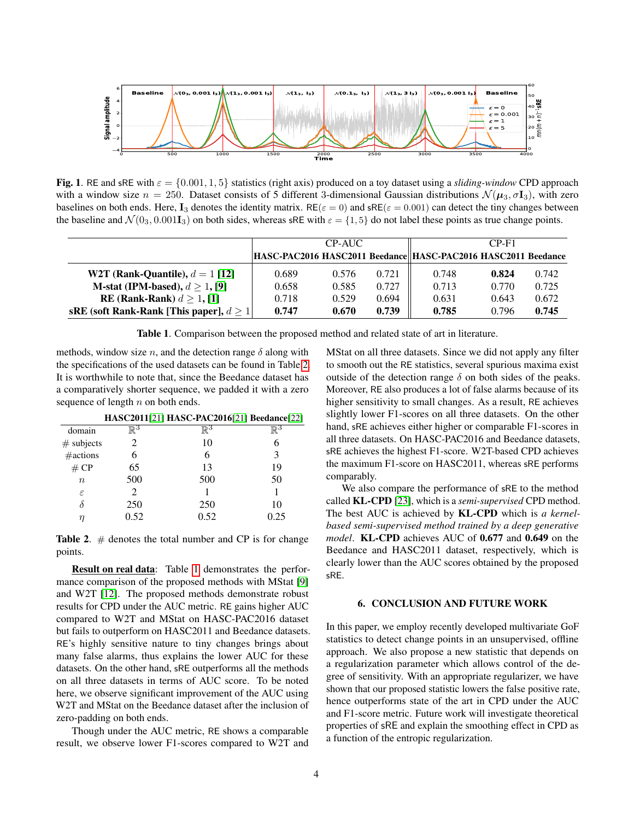

<span id="page-3-0"></span>**Fig. 1.** RE and sRE with  $\varepsilon = \{0.001, 1, 5\}$  statistics (right axis) produced on a toy dataset using a *sliding-window* CPD approach with a window size  $n = 250$ . Dataset consists of 5 different 3-dimensional Gaussian distributions  $\mathcal{N}(\mu_3, \sigma_{13})$ , with zero baselines on both ends. Here, I<sub>3</sub> denotes the identity matrix. RE( $\varepsilon = 0$ ) and sRE( $\varepsilon = 0.001$ ) can detect the tiny changes between the baseline and  $\mathcal{N}(0_3, 0.001\mathbf{I}_3)$  on both sides, whereas sRE with  $\varepsilon = \{1, 5\}$  do not label these points as true change points.

|                                                | CP-AUC |       |       | $CP-F1$                                                        |       |       |
|------------------------------------------------|--------|-------|-------|----------------------------------------------------------------|-------|-------|
|                                                |        |       |       | HASC-PAC2016 HASC2011 Beedance  HASC-PAC2016 HASC2011 Beedance |       |       |
| W2T (Rank-Quantile), $d = 1$ [12]              | 0.689  | 0.576 | 0.721 | 0.748                                                          | 0.824 | 0.742 |
| M-stat (IPM-based), $d > 1$ , [9]              | 0.658  | 0.585 | 0.727 | 0.713                                                          | 0.770 | 0.725 |
| RE (Rank-Rank) $d > 1$ , [1]                   | 0.718  | 0.529 | 0.694 | 0.631                                                          | 0.643 | 0.672 |
| sRE (soft Rank-Rank [This paper], $d \geq 1$ ] | 0.747  | 0.670 | 0.739 | 0.785                                                          | 0.796 | 0.745 |

<span id="page-3-2"></span>Table 1. Comparison between the proposed method and related state of art in literature.

methods, window size n, and the detection range  $\delta$  along with the specifications of the used datasets can be found in Table [2.](#page-3-1) It is worthwhile to note that, since the Beedance dataset has a comparatively shorter sequence, we padded it with a zero sequence of length  $n$  on both ends.

|                  |                | HASC2011[21] HASC-PAC2016[21] Beedance[22] |            |
|------------------|----------------|--------------------------------------------|------------|
| domain           | $\mathbb{R}^3$ | $\mathbb{R}^3$                             | $\nabla^3$ |
| $#$ subjects     |                | 10                                         | h          |
| #actions         |                |                                            | 3          |
| # CP             | 65             | 13                                         | 19         |
| $\boldsymbol{n}$ | 500            | 500                                        | 50         |
| ε                |                |                                            |            |
|                  | 250            | 250                                        | 10         |
|                  | 0.52           | 0.52                                       | 0.25       |

<span id="page-3-1"></span>**Table 2.**  $#$  denotes the total number and CP is for change points.

Result on real data: Table [1](#page-3-2) demonstrates the performance comparison of the proposed methods with MStat [\[9\]](#page-4-8) and W2T [\[12\]](#page-4-11). The proposed methods demonstrate robust results for CPD under the AUC metric. RE gains higher AUC compared to W2T and MStat on HASC-PAC2016 dataset but fails to outperform on HASC2011 and Beedance datasets. RE's highly sensitive nature to tiny changes brings about many false alarms, thus explains the lower AUC for these datasets. On the other hand, sRE outperforms all the methods on all three datasets in terms of AUC score. To be noted here, we observe significant improvement of the AUC using W2T and MStat on the Beedance dataset after the inclusion of zero-padding on both ends.

Though under the AUC metric, RE shows a comparable result, we observe lower F1-scores compared to W2T and MStat on all three datasets. Since we did not apply any filter to smooth out the RE statistics, several spurious maxima exist outside of the detection range  $\delta$  on both sides of the peaks. Moreover, RE also produces a lot of false alarms because of its higher sensitivity to small changes. As a result, RE achieves slightly lower F1-scores on all three datasets. On the other hand, sRE achieves either higher or comparable F1-scores in all three datasets. On HASC-PAC2016 and Beedance datasets, sRE achieves the highest F1-score. W2T-based CPD achieves the maximum F1-score on HASC2011, whereas sRE performs comparably.

We also compare the performance of sRE to the method called KL-CPD [\[23\]](#page-5-2), which is a *semi-supervised* CPD method. The best AUC is achieved by KL-CPD which is *a kernelbased semi-supervised method trained by a deep generative model*. KL-CPD achieves AUC of 0.677 and 0.649 on the Beedance and HASC2011 dataset, respectively, which is clearly lower than the AUC scores obtained by the proposed sRE.

#### 6. CONCLUSION AND FUTURE WORK

In this paper, we employ recently developed multivariate GoF statistics to detect change points in an unsupervised, offline approach. We also propose a new statistic that depends on a regularization parameter which allows control of the degree of sensitivity. With an appropriate regularizer, we have shown that our proposed statistic lowers the false positive rate, hence outperforms state of the art in CPD under the AUC and F1-score metric. Future work will investigate theoretical properties of sRE and explain the smoothing effect in CPD as a function of the entropic regularization.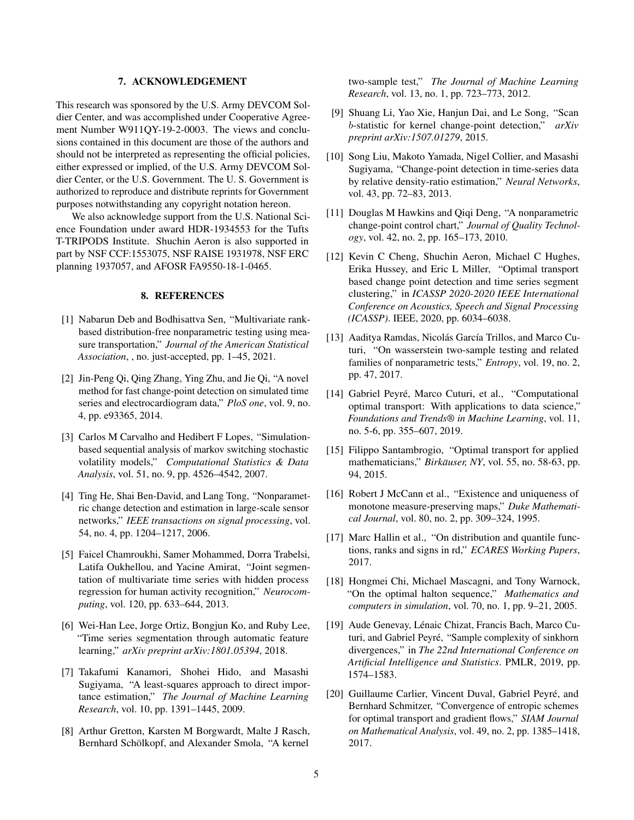### 7. ACKNOWLEDGEMENT

This research was sponsored by the U.S. Army DEVCOM Soldier Center, and was accomplished under Cooperative Agreement Number W911QY-19-2-0003. The views and conclusions contained in this document are those of the authors and should not be interpreted as representing the official policies, either expressed or implied, of the U.S. Army DEVCOM Soldier Center, or the U.S. Government. The U. S. Government is authorized to reproduce and distribute reprints for Government purposes notwithstanding any copyright notation hereon.

We also acknowledge support from the U.S. National Science Foundation under award HDR-1934553 for the Tufts T-TRIPODS Institute. Shuchin Aeron is also supported in part by NSF CCF:1553075, NSF RAISE 1931978, NSF ERC planning 1937057, and AFOSR FA9550-18-1-0465.

## 8. REFERENCES

- <span id="page-4-0"></span>[1] Nabarun Deb and Bodhisattva Sen, "Multivariate rankbased distribution-free nonparametric testing using measure transportation," *Journal of the American Statistical Association*, , no. just-accepted, pp. 1–45, 2021.
- <span id="page-4-1"></span>[2] Jin-Peng Qi, Qing Zhang, Ying Zhu, and Jie Qi, "A novel method for fast change-point detection on simulated time series and electrocardiogram data," *PloS one*, vol. 9, no. 4, pp. e93365, 2014.
- <span id="page-4-2"></span>[3] Carlos M Carvalho and Hedibert F Lopes, "Simulationbased sequential analysis of markov switching stochastic volatility models," *Computational Statistics & Data Analysis*, vol. 51, no. 9, pp. 4526–4542, 2007.
- <span id="page-4-3"></span>[4] Ting He, Shai Ben-David, and Lang Tong, "Nonparametric change detection and estimation in large-scale sensor networks," *IEEE transactions on signal processing*, vol. 54, no. 4, pp. 1204–1217, 2006.
- <span id="page-4-4"></span>[5] Faicel Chamroukhi, Samer Mohammed, Dorra Trabelsi, Latifa Oukhellou, and Yacine Amirat, "Joint segmentation of multivariate time series with hidden process regression for human activity recognition," *Neurocomputing*, vol. 120, pp. 633–644, 2013.
- <span id="page-4-5"></span>[6] Wei-Han Lee, Jorge Ortiz, Bongjun Ko, and Ruby Lee, "Time series segmentation through automatic feature learning," *arXiv preprint arXiv:1801.05394*, 2018.
- <span id="page-4-6"></span>[7] Takafumi Kanamori, Shohei Hido, and Masashi Sugiyama, "A least-squares approach to direct importance estimation," *The Journal of Machine Learning Research*, vol. 10, pp. 1391–1445, 2009.
- <span id="page-4-7"></span>[8] Arthur Gretton, Karsten M Borgwardt, Malte J Rasch, Bernhard Schölkopf, and Alexander Smola, "A kernel

two-sample test," *The Journal of Machine Learning Research*, vol. 13, no. 1, pp. 723–773, 2012.

- <span id="page-4-8"></span>[9] Shuang Li, Yao Xie, Hanjun Dai, and Le Song, "Scan b-statistic for kernel change-point detection," *arXiv preprint arXiv:1507.01279*, 2015.
- <span id="page-4-9"></span>[10] Song Liu, Makoto Yamada, Nigel Collier, and Masashi Sugiyama, "Change-point detection in time-series data by relative density-ratio estimation," *Neural Networks*, vol. 43, pp. 72–83, 2013.
- <span id="page-4-10"></span>[11] Douglas M Hawkins and Qiqi Deng, "A nonparametric change-point control chart," *Journal of Quality Technology*, vol. 42, no. 2, pp. 165–173, 2010.
- <span id="page-4-11"></span>[12] Kevin C Cheng, Shuchin Aeron, Michael C Hughes, Erika Hussey, and Eric L Miller, "Optimal transport based change point detection and time series segment clustering," in *ICASSP 2020-2020 IEEE International Conference on Acoustics, Speech and Signal Processing (ICASSP)*. IEEE, 2020, pp. 6034–6038.
- <span id="page-4-12"></span>[13] Aaditya Ramdas, Nicolás García Trillos, and Marco Cuturi, "On wasserstein two-sample testing and related families of nonparametric tests," *Entropy*, vol. 19, no. 2, pp. 47, 2017.
- <span id="page-4-13"></span>[14] Gabriel Peyré, Marco Cuturi, et al., "Computational optimal transport: With applications to data science," *Foundations and Trends® in Machine Learning*, vol. 11, no. 5-6, pp. 355–607, 2019.
- <span id="page-4-14"></span>[15] Filippo Santambrogio, "Optimal transport for applied mathematicians," *Birkäuser, NY*, vol. 55, no. 58-63, pp. 94, 2015.
- <span id="page-4-15"></span>[16] Robert J McCann et al., "Existence and uniqueness of monotone measure-preserving maps," *Duke Mathematical Journal*, vol. 80, no. 2, pp. 309–324, 1995.
- <span id="page-4-16"></span>[17] Marc Hallin et al., "On distribution and quantile functions, ranks and signs in rd," *ECARES Working Papers*, 2017.
- <span id="page-4-17"></span>[18] Hongmei Chi, Michael Mascagni, and Tony Warnock, "On the optimal halton sequence," *Mathematics and computers in simulation*, vol. 70, no. 1, pp. 9–21, 2005.
- <span id="page-4-18"></span>[19] Aude Genevay, Lénaic Chizat, Francis Bach, Marco Cuturi, and Gabriel Peyré, "Sample complexity of sinkhorn divergences," in *The 22nd International Conference on Artificial Intelligence and Statistics*. PMLR, 2019, pp. 1574–1583.
- <span id="page-4-19"></span>[20] Guillaume Carlier, Vincent Duval, Gabriel Peyré, and Bernhard Schmitzer, "Convergence of entropic schemes for optimal transport and gradient flows," *SIAM Journal on Mathematical Analysis*, vol. 49, no. 2, pp. 1385–1418, 2017.